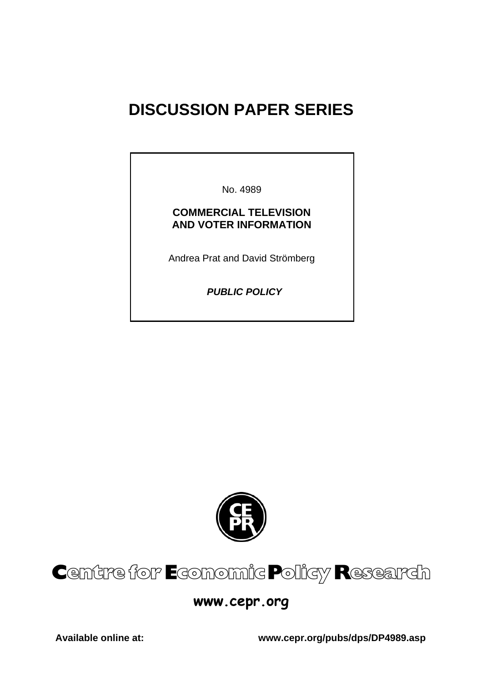# **DISCUSSION PAPER SERIES**

No. 4989

# **COMMERCIAL TELEVISION AND VOTER INFORMATION**

Andrea Prat and David Strömberg

 *PUBLIC POLICY* 



# Centre for Economic Policy Research

# **www.cepr.org**

**Available online at: www.cepr.org/pubs/dps/DP4989.asp**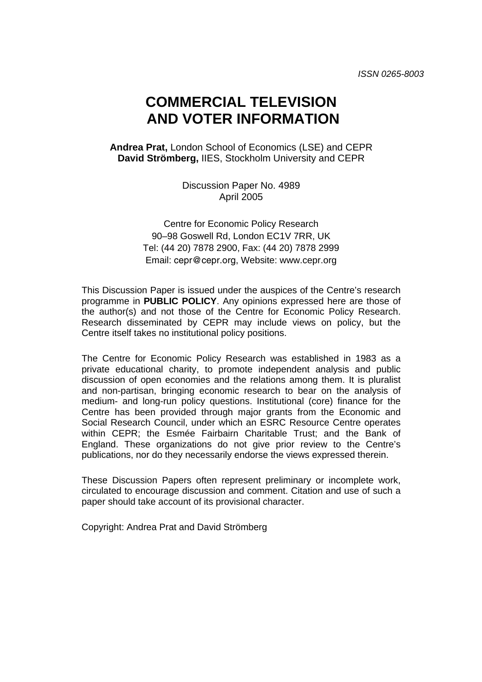# **COMMERCIAL TELEVISION AND VOTER INFORMATION**

**Andrea Prat,** London School of Economics (LSE) and CEPR **David Strömberg,** IIES, Stockholm University and CEPR

> Discussion Paper No. 4989 April 2005

Centre for Economic Policy Research 90–98 Goswell Rd, London EC1V 7RR, UK Tel: (44 20) 7878 2900, Fax: (44 20) 7878 2999 Email: cepr@cepr.org, Website: www.cepr.org

This Discussion Paper is issued under the auspices of the Centre's research programme in **PUBLIC POLICY**. Any opinions expressed here are those of the author(s) and not those of the Centre for Economic Policy Research. Research disseminated by CEPR may include views on policy, but the Centre itself takes no institutional policy positions.

The Centre for Economic Policy Research was established in 1983 as a private educational charity, to promote independent analysis and public discussion of open economies and the relations among them. It is pluralist and non-partisan, bringing economic research to bear on the analysis of medium- and long-run policy questions. Institutional (core) finance for the Centre has been provided through major grants from the Economic and Social Research Council, under which an ESRC Resource Centre operates within CEPR; the Esmée Fairbairn Charitable Trust; and the Bank of England. These organizations do not give prior review to the Centre's publications, nor do they necessarily endorse the views expressed therein.

These Discussion Papers often represent preliminary or incomplete work, circulated to encourage discussion and comment. Citation and use of such a paper should take account of its provisional character.

Copyright: Andrea Prat and David Strömberg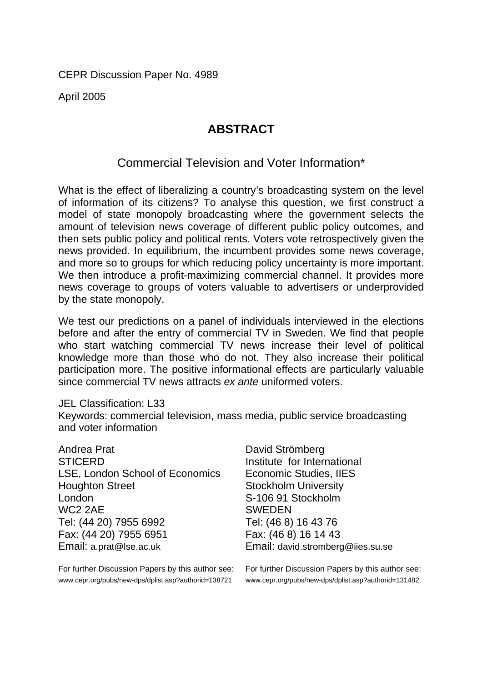CEPR Discussion Paper No. 4989

April 2005

# **ABSTRACT**

# Commercial Television and Voter Information\*

What is the effect of liberalizing a country's broadcasting system on the level of information of its citizens? To analyse this question, we first construct a model of state monopoly broadcasting where the government selects the amount of television news coverage of different public policy outcomes, and then sets public policy and political rents. Voters vote retrospectively given the news provided. In equilibrium, the incumbent provides some news coverage, and more so to groups for which reducing policy uncertainty is more important. We then introduce a profit-maximizing commercial channel. It provides more news coverage to groups of voters valuable to advertisers or underprovided by the state monopoly.

We test our predictions on a panel of individuals interviewed in the elections before and after the entry of commercial TV in Sweden. We find that people who start watching commercial TV news increase their level of political knowledge more than those who do not. They also increase their political participation more. The positive informational effects are particularly valuable since commercial TV news attracts *ex ante* uniformed voters.

# JEL Classification: L33

Keywords: commercial television, mass media, public service broadcasting and voter information

| Andrea Prat                     |
|---------------------------------|
| <b>STICERD</b>                  |
| LSE, London School of Economics |
| <b>Houghton Street</b>          |
| London                          |
| WC2 2AE                         |
| Tel: (44 20) 7955 6992          |
| Fax: (44 20) 7955 6951          |
| Email: a.prat@lse.ac.uk         |

For further Discussion Papers by this author see: www.cepr.org/pubs/new-dps/dplist.asp?authorid=138721

David Strömberg Institute for International Economic Studies, IIES Stockholm University S-106 91 Stockholm **SWEDEN** Tel: (46 8) 16 43 76 Fax: (46 8) 16 14 43 Email: david.stromberg@iies.su.se

For further Discussion Papers by this author see: www.cepr.org/pubs/new-dps/dplist.asp?authorid=131482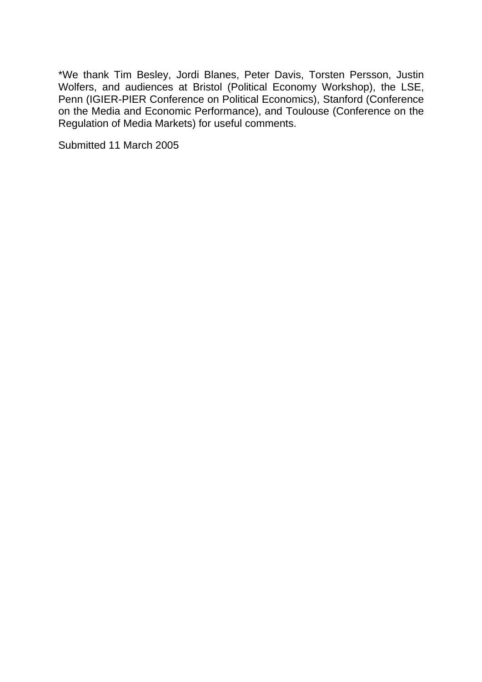\*We thank Tim Besley, Jordi Blanes, Peter Davis, Torsten Persson, Justin Wolfers, and audiences at Bristol (Political Economy Workshop), the LSE, Penn (IGIER-PIER Conference on Political Economics), Stanford (Conference on the Media and Economic Performance), and Toulouse (Conference on the Regulation of Media Markets) for useful comments.

Submitted 11 March 2005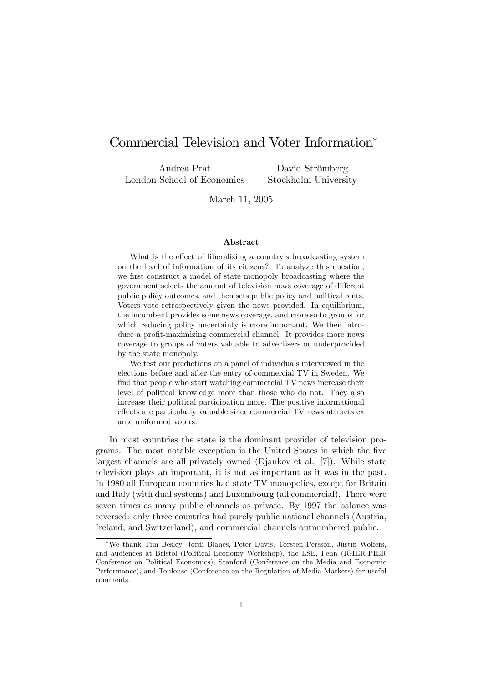# Commercial Television and Voter Information

Andrea Prat London School of Economics

David Strömberg Stockholm University

March 11, 2005

#### Abstract

What is the effect of liberalizing a country's broadcasting system on the level of information of its citizens? To analyze this question, we first construct a model of state monopoly broadcasting where the government selects the amount of television news coverage of different public policy outcomes, and then sets public policy and political rents. Voters vote retrospectively given the news provided. In equilibrium, the incumbent provides some news coverage, and more so to groups for which reducing policy uncertainty is more important. We then introduce a profit-maximizing commercial channel. It provides more news coverage to groups of voters valuable to advertisers or underprovided by the state monopoly.

We test our predictions on a panel of individuals interviewed in the elections before and after the entry of commercial TV in Sweden. We find that people who start watching commercial TV news increase their level of political knowledge more than those who do not. They also increase their political participation more. The positive informational effects are particularly valuable since commercial TV news attracts ex ante uniformed voters.

In most countries the state is the dominant provider of television programs. The most notable exception is the United States in which the five largest channels are all privately owned (Djankov et al. [7]). While state television plays an important, it is not as important as it was in the past. In 1980 all European countries had state TV monopolies, except for Britain and Italy (with dual systems) and Luxembourg (all commercial). There were seven times as many public channels as private. By 1997 the balance was reversed: only three countries had purely public national channels (Austria, Ireland, and Switzerland), and commercial channels outnumbered public.

We thank Tim Besley, Jordi Blanes, Peter Davis, Torsten Persson, Justin Wolfers, and audiences at Bristol (Political Economy Workshop), the LSE, Penn (IGIER-PIER Conference on Political Economics), Stanford (Conference on the Media and Economic Performance), and Toulouse (Conference on the Regulation of Media Markets) for useful comments.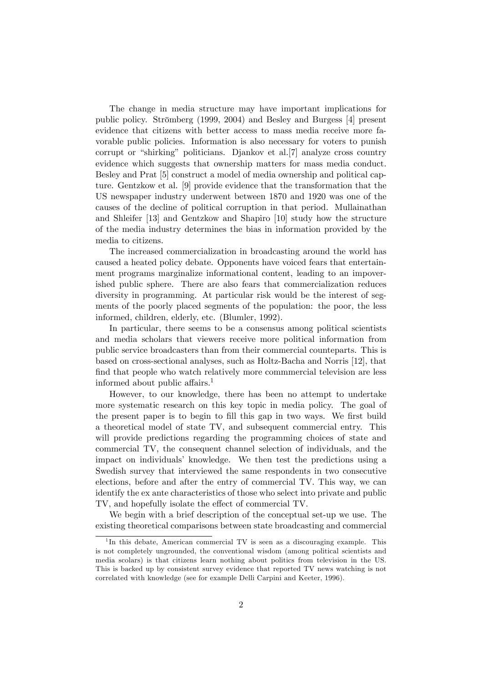The change in media structure may have important implications for public policy. Strömberg (1999, 2004) and Besley and Burgess [4] present evidence that citizens with better access to mass media receive more favorable public policies. Information is also necessary for voters to punish corrupt or "shirking" politicians. Djankov et al.[7] analyze cross country evidence which suggests that ownership matters for mass media conduct. Besley and Prat [5] construct a model of media ownership and political capture. Gentzkow et al. [9] provide evidence that the transformation that the US newspaper industry underwent between 1870 and 1920 was one of the causes of the decline of political corruption in that period. Mullainathan and Shleifer [13] and Gentzkow and Shapiro [10] study how the structure of the media industry determines the bias in information provided by the media to citizens.

The increased commercialization in broadcasting around the world has caused a heated policy debate. Opponents have voiced fears that entertainment programs marginalize informational content, leading to an impoverished public sphere. There are also fears that commercialization reduces diversity in programming. At particular risk would be the interest of segments of the poorly placed segments of the population: the poor, the less informed, children, elderly, etc. (Blumler, 1992).

In particular, there seems to be a consensus among political scientists and media scholars that viewers receive more political information from public service broadcasters than from their commercial counteparts. This is based on cross-sectional analyses, such as Holtz-Bacha and Norris [12], that find that people who watch relatively more commmercial television are less informed about public affairs.<sup>1</sup>

However, to our knowledge, there has been no attempt to undertake more systematic research on this key topic in media policy. The goal of the present paper is to begin to fill this gap in two ways. We first build a theoretical model of state TV, and subsequent commercial entry. This will provide predictions regarding the programming choices of state and commercial TV, the consequent channel selection of individuals, and the impact on individuals' knowledge. We then test the predictions using a Swedish survey that interviewed the same respondents in two consecutive elections, before and after the entry of commercial TV. This way, we can identify the ex ante characteristics of those who select into private and public TV, and hopefully isolate the effect of commercial TV.

We begin with a brief description of the conceptual set-up we use. The existing theoretical comparisons between state broadcasting and commercial

<sup>&</sup>lt;sup>1</sup>In this debate, American commercial TV is seen as a discouraging example. This is not completely ungrounded, the conventional wisdom (among political scientists and media scolars) is that citizens learn nothing about politics from television in the US. This is backed up by consistent survey evidence that reported TV news watching is not correlated with knowledge (see for example Delli Carpini and Keeter, 1996).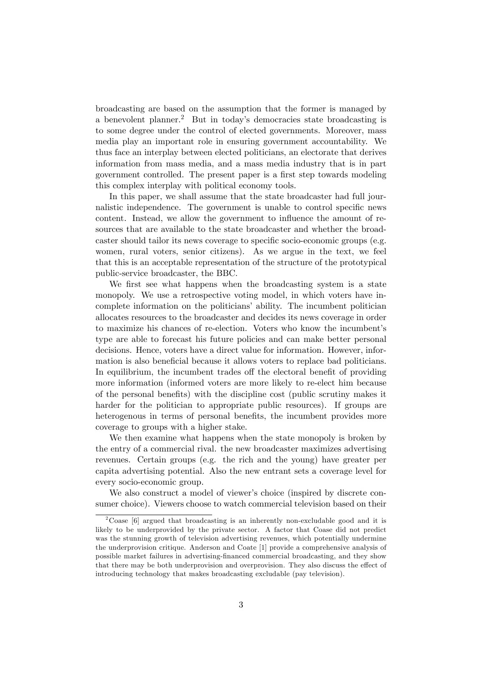broadcasting are based on the assumption that the former is managed by a benevolent planner.<sup>2</sup> But in today's democracies state broadcasting is to some degree under the control of elected governments. Moreover, mass media play an important role in ensuring government accountability. We thus face an interplay between elected politicians, an electorate that derives information from mass media, and a mass media industry that is in part government controlled. The present paper is a first step towards modeling this complex interplay with political economy tools.

In this paper, we shall assume that the state broadcaster had full journalistic independence. The government is unable to control specific news content. Instead, we allow the government to influence the amount of resources that are available to the state broadcaster and whether the broadcaster should tailor its news coverage to specific socio-economic groups (e.g. women, rural voters, senior citizens). As we argue in the text, we feel that this is an acceptable representation of the structure of the prototypical public-service broadcaster, the BBC.

We first see what happens when the broadcasting system is a state monopoly. We use a retrospective voting model, in which voters have incomplete information on the politicians' ability. The incumbent politician allocates resources to the broadcaster and decides its news coverage in order to maximize his chances of re-election. Voters who know the incumbent's type are able to forecast his future policies and can make better personal decisions. Hence, voters have a direct value for information. However, information is also beneficial because it allows voters to replace bad politicians. In equilibrium, the incumbent trades of the electoral benefit of providing more information (informed voters are more likely to re-elect him because of the personal benefits) with the discipline cost (public scrutiny makes it harder for the politician to appropriate public resources). If groups are heterogenous in terms of personal benefits, the incumbent provides more coverage to groups with a higher stake.

We then examine what happens when the state monopoly is broken by the entry of a commercial rival. the new broadcaster maximizes advertising revenues. Certain groups (e.g. the rich and the young) have greater per capita advertising potential. Also the new entrant sets a coverage level for every socio-economic group.

We also construct a model of viewer's choice (inspired by discrete consumer choice). Viewers choose to watch commercial television based on their

<sup>&</sup>lt;sup>2</sup>Coase [6] argued that broadcasting is an inherently non-excludable good and it is likely to be underprovided by the private sector. A factor that Coase did not predict was the stunning growth of television advertising revenues, which potentially undermine the underprovision critique. Anderson and Coate [1] provide a comprehensive analysis of possible market failures in advertising-financed commercial broadcasting, and they show that there may be both underprovision and overprovision. They also discuss the effect of introducing technology that makes broadcasting excludable (pay television).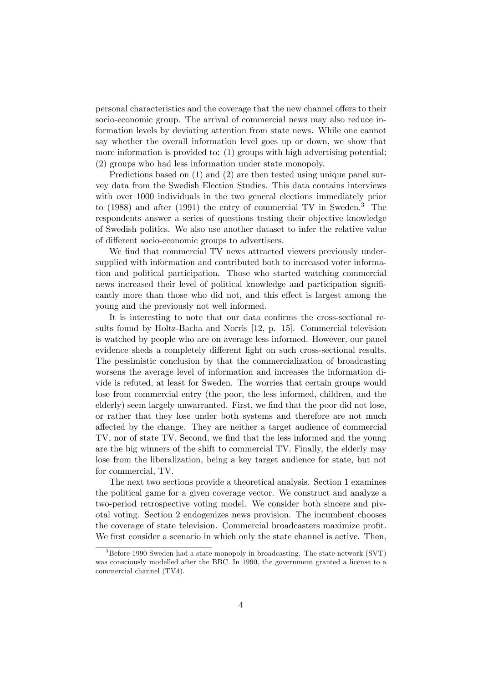personal characteristics and the coverage that the new channel offers to their socio-economic group. The arrival of commercial news may also reduce information levels by deviating attention from state news. While one cannot say whether the overall information level goes up or down, we show that more information is provided to: (1) groups with high advertising potential; (2) groups who had less information under state monopoly.

Predictions based on (1) and (2) are then tested using unique panel survey data from the Swedish Election Studies. This data contains interviews with over 1000 individuals in the two general elections immediately prior to  $(1988)$  and after  $(1991)$  the entry of commercial TV in Sweden.<sup>3</sup> The respondents answer a series of questions testing their objective knowledge of Swedish politics. We also use another dataset to infer the relative value of different socio-economic groups to advertisers.

We find that commercial TV news attracted viewers previously undersupplied with information and contributed both to increased voter information and political participation. Those who started watching commercial news increased their level of political knowledge and participation significantly more than those who did not, and this effect is largest among the young and the previously not well informed.

It is interesting to note that our data confirms the cross-sectional results found by Holtz-Bacha and Norris [12, p. 15]. Commercial television is watched by people who are on average less informed. However, our panel evidence sheds a completely different light on such cross-sectional results. The pessimistic conclusion by that the commercialization of broadcasting worsens the average level of information and increases the information divide is refuted, at least for Sweden. The worries that certain groups would lose from commercial entry (the poor, the less informed, children, and the elderly) seem largely unwarranted. First, we find that the poor did not lose, or rather that they lose under both systems and therefore are not much affected by the change. They are neither a target audience of commercial TV, nor of state TV. Second, we find that the less informed and the young are the big winners of the shift to commercial TV. Finally, the elderly may lose from the liberalization, being a key target audience for state, but not for commercial, TV.

The next two sections provide a theoretical analysis. Section 1 examines the political game for a given coverage vector. We construct and analyze a two-period retrospective voting model. We consider both sincere and pivotal voting. Section 2 endogenizes news provision. The incumbent chooses the coverage of state television. Commercial broadcasters maximize profit. We first consider a scenario in which only the state channel is active. Then,

 $3B$ Before 1990 Sweden had a state monopoly in broadcasting. The state network (SVT) was consciously modelled after the BBC. In 1990, the government granted a license to a commercial channel (TV4).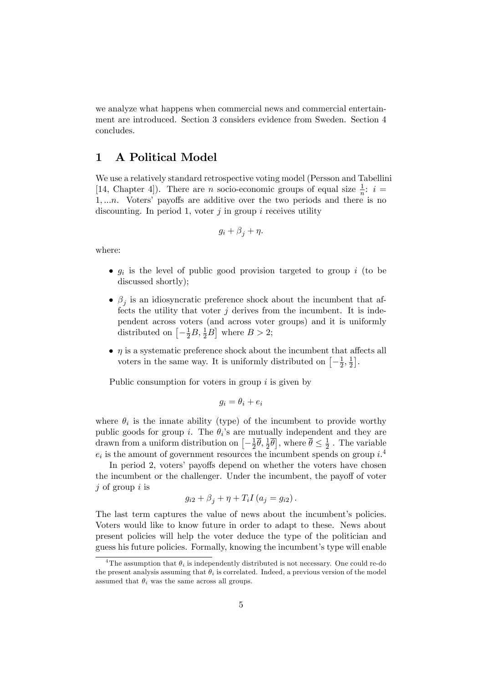we analyze what happens when commercial news and commercial entertainment are introduced. Section 3 considers evidence from Sweden. Section 4 concludes.

# 1 A Political Model

We use a relatively standard retrospective voting model (Persson and Tabellini [14, Chapter 4]). There are *n* socio-economic groups of equal size  $\frac{1}{n}$ : *i* =  $1, \ldots n$ . Voters' payoffs are additive over the two periods and there is no discounting. In period 1, voter  $i$  in group  $i$  receives utility

$$
g_i + \beta_j + \eta.
$$

where:

- $g_i$  is the level of public good provision targeted to group i (to be discussed shortly);
- $\bullet$   $\beta_j$  is an idiosyncratic preference shock about the incumbent that affects the utility that voter  $j$  derives from the incumbent. It is independent across voters (and across voter groups) and it is uniformly distributed on  $\left[-\frac{1}{2}B, \frac{1}{2}B\right]$  where  $B > 2$ ;
- $\bullet$   $\eta$  is a systematic preference shock about the incumbent that affects all voters in the same way. It is uniformly distributed on  $\left[-\frac{1}{2}\right]$  $\frac{1}{2}, \frac{1}{2}$  $\frac{1}{2}$ .

Public consumption for voters in group  $i$  is given by

$$
g_i = \theta_i + e_i
$$

where  $\theta_i$  is the innate ability (type) of the incumbent to provide worthy public goods for group i. The  $\theta_i$ 's are mutually independent and they are drawn from a uniform distribution on  $\left[-\frac{1}{2}\right]$  $\frac{1}{2}\overline{\theta}, \frac{1}{2}\overline{\theta}$ , where  $\overline{\theta} \leq \frac{1}{2}$  $\frac{1}{2}$ . The variable  $e_i$  is the amount of government resources the incumbent spends on group  $i^4$ .

In period 2, voters' payoffs depend on whether the voters have chosen the incumbent or the challenger. Under the incumbent, the payoff of voter  $j$  of group  $i$  is

$$
g_{i2} + \beta_j + \eta + T_i I \left( a_j = g_{i2} \right).
$$

The last term captures the value of news about the incumbent's policies. Voters would like to know future in order to adapt to these. News about present policies will help the voter deduce the type of the politician and guess his future policies. Formally, knowing the incumbent's type will enable

<sup>&</sup>lt;sup>4</sup>The assumption that  $\theta_i$  is independently distributed is not necessary. One could re-do the present analysis assuming that  $\theta_i$  is correlated. Indeed, a previous version of the model assumed that  $\theta_i$  was the same across all groups.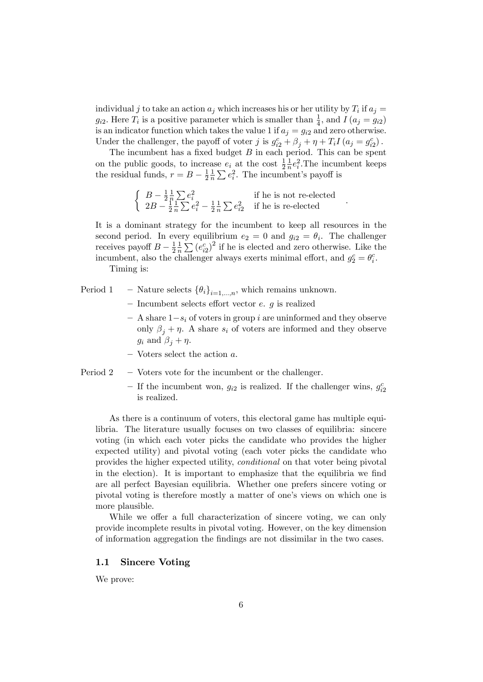individual j to take an action  $a_j$  which increases his or her utility by  $T_i$  if  $a_j =$  $g_{i2}$ . Here  $T_i$  is a positive parameter which is smaller than  $\frac{1}{4}$ , and  $I(a_j = g_{i2})$ is an indicator function which takes the value 1 if  $a_j = g_{i2}$  and zero otherwise. Under the challenger, the payoff of voter j is  $g_{i2}^c + \beta_j + \eta + T_i I (a_j = g_{i2}^c)$ .

The incumbent has a fixed budget  $B$  in each period. This can be spent on the public goods, to increase  $e_i$  at the cost  $\frac{1}{2}$ 1  $\frac{1}{n}e_i^2$ . The incumbent keeps the residual funds,  $r = B - \frac{1}{2}$ 2 1  $\frac{1}{n}\sum e_i^2$ . The incumbent's payoff is

$$
\begin{cases}\nB - \frac{1}{2} \frac{1}{n} \sum e_i^2 \\
2B - \frac{1}{2} \frac{1}{n} \sum e_i^2 - \frac{1}{2} \frac{1}{n} \sum e_{i2}^2 & \text{if he is re-elected} \\
\end{cases}
$$

It is a dominant strategy for the incumbent to keep all resources in the second period. In every equilibrium  $e_2 = 0$  and  $g_{i2} = \theta_i$ . The challenger receives payoff  $B - \frac{1}{2}$ 2 1  $\frac{1}{n}\sum (e_{i2}^c)^2$  if he is elected and zero otherwise. Like the incumbent, also the challenger always exerts minimal effort, and  $g_2^c = \theta_i^c$ . Timing is:

- Period 1 Nature selects  $\{\theta_i\}_{i=1}$ , which remains unknown.
	- $\overline{\phantom{a}}$  Incumbent selects effort vector e. g is realized
	- $\overline{a}$  A share  $1-s_i$  of voters in group i are uninformed and they observe only  $\beta_j + \eta$ . A share  $s_i$  of voters are informed and they observe  $g_i$  and  $\beta_i + \eta$ .
	- $\overline{\phantom{a}}$  Voters select the action a.
- Period  $2 -$  Voters vote for the incumbent or the challenger.
	- If the incumbent won,  $g_{i2}$  is realized. If the challenger wins,  $g_{i2}^c$ is realized.

As there is a continuum of voters, this electoral game has multiple equilibria. The literature usually focuses on two classes of equilibria: sincere voting (in which each voter picks the candidate who provides the higher expected utility) and pivotal voting (each voter picks the candidate who provides the higher expected utility, conditional on that voter being pivotal in the election). It is important to emphasize that the equilibria we find are all perfect Bayesian equilibria. Whether one prefers sincere voting or pivotal voting is therefore mostly a matter of one's views on which one is more plausible.

While we offer a full characterization of sincere voting, we can only provide incomplete results in pivotal voting. However, on the key dimension of information aggregation the Öndings are not dissimilar in the two cases.

#### 1.1 Sincere Voting

We prove: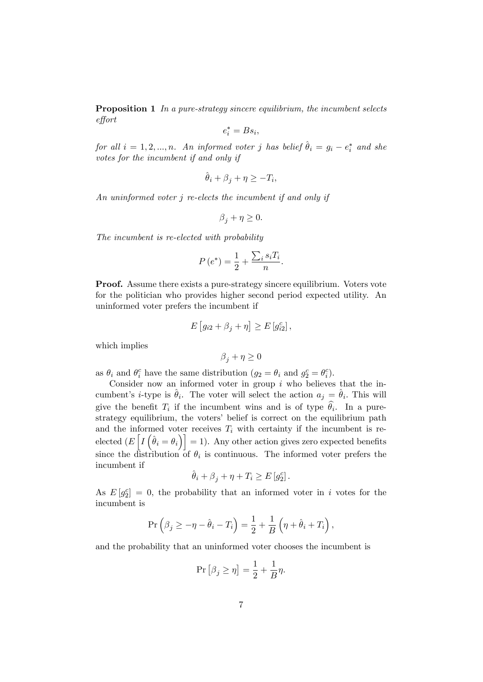**Proposition 1** In a pure-strategy sincere equilibrium, the incumbent selects e§ort

$$
e_i^* = B s_i,
$$

for all  $i = 1, 2, ..., n$ . An informed voter j has belief  $\hat{\theta}_i = g_i - e_i^*$  and she votes for the incumbent if and only if

$$
\hat{\theta}_i + \beta_j + \eta \ge -T_i,
$$

An uninformed voter j re-elects the incumbent if and only if

$$
\beta_j+\eta\geq 0.
$$

The incumbent is re-elected with probability

$$
P(e^*) = \frac{1}{2} + \frac{\sum_i s_i T_i}{n}.
$$

Proof. Assume there exists a pure-strategy sincere equilibrium. Voters vote for the politician who provides higher second period expected utility. An uninformed voter prefers the incumbent if

$$
E[g_{i2} + \beta_j + \eta] \ge E[g_{i2}^c],
$$

which implies

$$
\beta_j+\eta\geq 0
$$

as  $\theta_i$  and  $\theta_i^c$  have the same distribution  $(g_2 = \theta_i \text{ and } g_2^c = \theta_i^c)$ .

Consider now an informed voter in group  $i$  who believes that the incumbent's *i*-type is  $\hat{\theta}_i$ . The voter will select the action  $a_j = \hat{\theta}_i$ . This will give the benefit  $T_i$  if the incumbent wins and is of type  $\theta_i$ . In a purestrategy equilibrium, the voters' belief is correct on the equilibrium path and the informed voter receives  $T_i$  with certainty if the incumbent is reelected  $(E[\tilde{I}(\hat{\theta}_i = \theta_i)] = 1)$ . Any other action gives zero expected benefits since the distribution of  $\theta_i$  is continuous. The informed voter prefers the incumbent if

$$
\hat{\theta}_i + \beta_j + \eta + T_i \ge E[g_2^c].
$$

As  $E[g_2^c] = 0$ , the probability that an informed voter in i votes for the incumbent is

$$
\Pr\left(\beta_j \ge -\eta - \hat{\theta}_i - T_i\right) = \frac{1}{2} + \frac{1}{B}\left(\eta + \hat{\theta}_i + T_i\right),\,
$$

and the probability that an uninformed voter chooses the incumbent is

$$
\Pr\left[\beta_j \ge \eta\right] = \frac{1}{2} + \frac{1}{B}\eta.
$$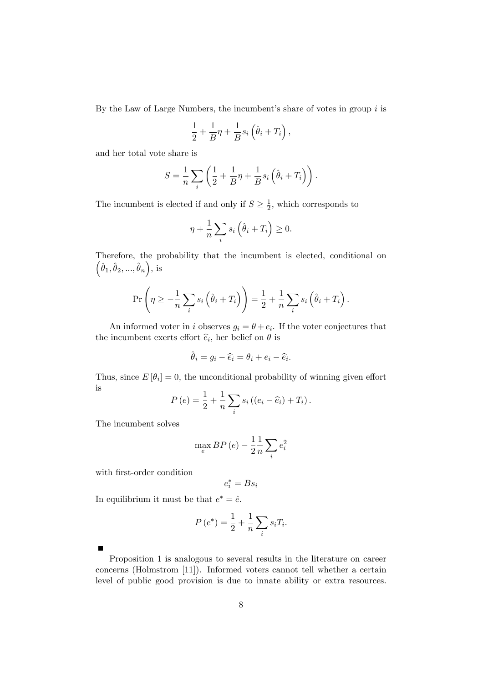By the Law of Large Numbers, the incumbent's share of votes in group  $i$  is

$$
\frac{1}{2} + \frac{1}{B}\eta + \frac{1}{B}s_i\left(\hat{\theta}_i + T_i\right),\,
$$

and her total vote share is

$$
S = \frac{1}{n} \sum_{i} \left( \frac{1}{2} + \frac{1}{B} \eta + \frac{1}{B} s_i \left( \hat{\theta}_i + T_i \right) \right).
$$

The incumbent is elected if and only if  $S \geq \frac{1}{2}$  $\frac{1}{2}$ , which corresponds to

$$
\eta + \frac{1}{n} \sum_{i} s_i \left( \hat{\theta}_i + T_i \right) \ge 0.
$$

Therefore, the probability that the incumbent is elected, conditional on  $(\hat{\theta}_1, \hat{\theta}_2, ..., \hat{\theta}_n), \text{ is}$ 

$$
\Pr\left(\eta \geq -\frac{1}{n}\sum_{i} s_i \left(\hat{\theta}_i + T_i\right)\right) = \frac{1}{2} + \frac{1}{n}\sum_{i} s_i \left(\hat{\theta}_i + T_i\right).
$$

An informed voter in i observes  $g_i = \theta + e_i$ . If the voter conjectures that the incumbent exerts effort  $\hat{e}_i$ , her belief on  $\theta$  is

$$
\hat{\theta}_i = g_i - \hat{e}_i = \theta_i + e_i - \hat{e}_i.
$$

Thus, since  $E[\theta_i] = 0$ , the unconditional probability of winning given effort is

$$
P(e) = \frac{1}{2} + \frac{1}{n} \sum_{i} s_i ((e_i - \widehat{e}_i) + T_i).
$$

The incumbent solves

$$
\max_{e} BP(e) - \frac{1}{2} \frac{1}{n} \sum_{i} e_i^2
$$

with first-order condition

$$
e_i^* = B s_i
$$

In equilibrium it must be that  $e^* = \hat{e}$ .

$$
P\left(e^*\right) = \frac{1}{2} + \frac{1}{n} \sum_i s_i T_i.
$$

Proposition 1 is analogous to several results in the literature on career concerns (Holmstrom [11]). Informed voters cannot tell whether a certain level of public good provision is due to innate ability or extra resources.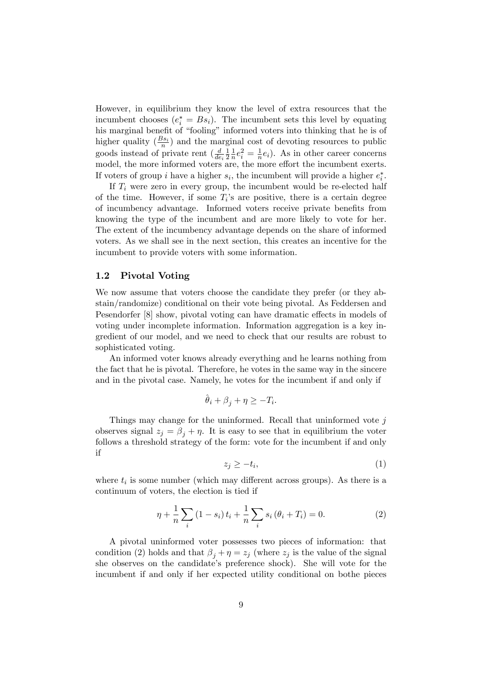However, in equilibrium they know the level of extra resources that the incumbent chooses  $(e_i^* = Bs_i)$ . The incumbent sets this level by equating his marginal benefit of "fooling" informed voters into thinking that he is of higher quality  $(\frac{Bs_i}{n})$  and the marginal cost of devoting resources to public goods instead of private rent  $\left(\frac{d}{de_i}\right)$ 1 2 1  $\frac{1}{n}e_i^2 = \frac{1}{n}$  $\frac{1}{n}e_i$ ). As in other career concerns model, the more informed voters are, the more effort the incumbent exerts. If voters of group *i* have a higher  $s_i$ , the incumbent will provide a higher  $e_i^*$ .

If  $T_i$  were zero in every group, the incumbent would be re-elected half of the time. However, if some  $T_i$ 's are positive, there is a certain degree of incumbency advantage. Informed voters receive private benefits from knowing the type of the incumbent and are more likely to vote for her. The extent of the incumbency advantage depends on the share of informed voters. As we shall see in the next section, this creates an incentive for the incumbent to provide voters with some information.

#### 1.2 Pivotal Voting

We now assume that voters choose the candidate they prefer (or they abstain/randomize) conditional on their vote being pivotal. As Feddersen and Pesendorfer [8] show, pivotal voting can have dramatic effects in models of voting under incomplete information. Information aggregation is a key ingredient of our model, and we need to check that our results are robust to sophisticated voting.

An informed voter knows already everything and he learns nothing from the fact that he is pivotal. Therefore, he votes in the same way in the sincere and in the pivotal case. Namely, he votes for the incumbent if and only if

$$
\hat{\theta}_i + \beta_j + \eta \ge -T_i.
$$

Things may change for the uninformed. Recall that uninformed vote  $j$ observes signal  $z_j = \beta_j + \eta$ . It is easy to see that in equilibrium the voter follows a threshold strategy of the form: vote for the incumbent if and only if

$$
z_j \geq -t_i,\tag{1}
$$

where  $t_i$  is some number (which may different across groups). As there is a continuum of voters, the election is tied if

$$
\eta + \frac{1}{n} \sum_{i} (1 - s_i) t_i + \frac{1}{n} \sum_{i} s_i (\theta_i + T_i) = 0.
$$
 (2)

A pivotal uninformed voter possesses two pieces of information: that condition (2) holds and that  $\beta_i + \eta = z_i$  (where  $z_i$  is the value of the signal she observes on the candidate's preference shock). She will vote for the incumbent if and only if her expected utility conditional on bothe pieces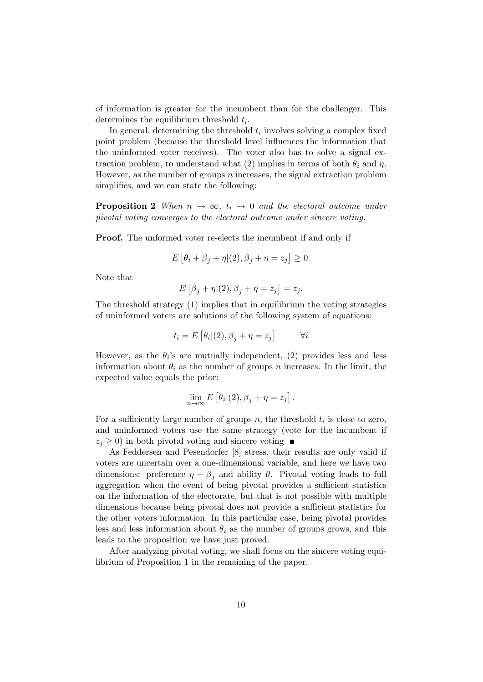of information is greater for the incumbent than for the challenger. This determines the equilibrium threshold  $t_i$ .

In general, determining the threshold  $t_i$  involves solving a complex fixed point problem (because the threshold level ináuences the information that the uninformed voter receives). The voter also has to solve a signal extraction problem, to understand what (2) implies in terms of both  $\theta_i$  and  $\eta$ . However, as the number of groups  $n$  increases, the signal extraction problem simplifies, and we can state the following:

**Proposition 2** When  $n \to \infty$ ,  $t_i \to 0$  and the electoral outcome under pivotal voting converges to the electoral outcome under sincere voting.

Proof. The unformed voter re-elects the incumbent if and only if

$$
E[\theta_i + \beta_j + \eta | (2), \beta_j + \eta = z_j] \ge 0.
$$

Note that

$$
E\left[\beta_j + \eta | (2), \beta_j + \eta = z_j\right] = z_j.
$$

The threshold strategy (1) implies that in equilibrium the voting strategies of uninformed voters are solutions of the following system of equations:

$$
t_i = E\left[\theta_i|(2), \beta_j + \eta = z_j\right] \qquad \forall i
$$

However, as the  $\theta_i$ 's are mutually independent, (2) provides less and less information about  $\theta_i$  as the number of groups n increases. In the limit, the expected value equals the prior:

$$
\lim_{n\to\infty} E\left[\theta_i|(2),\beta_j+\eta=z_j\right].
$$

For a sufficiently large number of groups  $n$ , the threshold  $t_i$  is close to zero, and uninformed voters use the same strategy (vote for the incumbent if  $z_i \geq 0$ ) in both pivotal voting and sincere voting

As Feddersen and Pesendorfer [8] stress, their results are only valid if voters are uncertain over a one-dimensional variable, and here we have two dimensions: preference  $\eta + \beta_j$  and ability  $\theta$ . Pivotal voting leads to full aggregation when the event of being pivotal provides a sufficient statistics on the information of the electorate, but that is not possible with multiple dimensions because being pivotal does not provide a sufficient statistics for the other voters information. In this particular case, being pivotal provides less and less information about  $\theta_i$  as the number of groups grows, and this leads to the proposition we have just proved.

After analyzing pivotal voting, we shall focus on the sincere voting equilibrium of Proposition 1 in the remaining of the paper.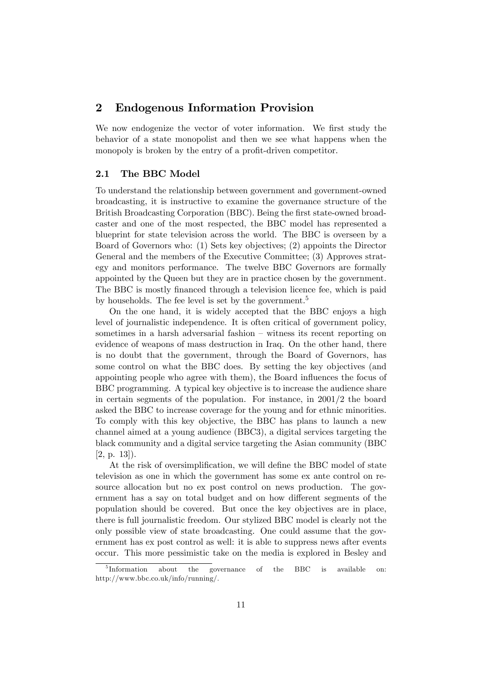### 2 Endogenous Information Provision

We now endogenize the vector of voter information. We first study the behavior of a state monopolist and then we see what happens when the monopoly is broken by the entry of a profit-driven competitor.

#### 2.1 The BBC Model

To understand the relationship between government and government-owned broadcasting, it is instructive to examine the governance structure of the British Broadcasting Corporation (BBC). Being the first state-owned broadcaster and one of the most respected, the BBC model has represented a blueprint for state television across the world. The BBC is overseen by a Board of Governors who: (1) Sets key objectives; (2) appoints the Director General and the members of the Executive Committee; (3) Approves strategy and monitors performance. The twelve BBC Governors are formally appointed by the Queen but they are in practice chosen by the government. The BBC is mostly financed through a television licence fee, which is paid by households. The fee level is set by the government.<sup>5</sup>

On the one hand, it is widely accepted that the BBC enjoys a high level of journalistic independence. It is often critical of government policy, sometimes in a harsh adversarial fashion  $\overline{\phantom{a}}$  witness its recent reporting on evidence of weapons of mass destruction in Iraq. On the other hand, there is no doubt that the government, through the Board of Governors, has some control on what the BBC does. By setting the key objectives (and appointing people who agree with them), the Board influences the focus of BBC programming. A typical key objective is to increase the audience share in certain segments of the population. For instance, in 2001/2 the board asked the BBC to increase coverage for the young and for ethnic minorities. To comply with this key objective, the BBC has plans to launch a new channel aimed at a young audience (BBC3), a digital services targeting the black community and a digital service targeting the Asian community (BBC [2, p. 13]).

At the risk of oversimplification, we will define the BBC model of state television as one in which the government has some ex ante control on resource allocation but no ex post control on news production. The government has a say on total budget and on how different segments of the population should be covered. But once the key objectives are in place, there is full journalistic freedom. Our stylized BBC model is clearly not the only possible view of state broadcasting. One could assume that the government has ex post control as well: it is able to suppress news after events occur. This more pessimistic take on the media is explored in Besley and

<sup>&</sup>lt;sup>5</sup>Information about the governance of the BBC is available on: http://www.bbc.co.uk/info/running/.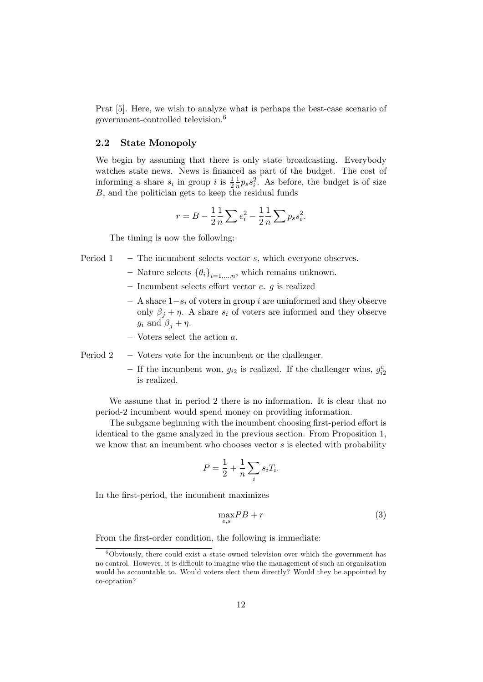Prat [5]. Here, we wish to analyze what is perhaps the best-case scenario of government-controlled television.<sup>6</sup>

#### 2.2 State Monopoly

We begin by assuming that there is only state broadcasting. Everybody watches state news. News is financed as part of the budget. The cost of informing a share  $s_i$  in group i is  $\frac{1}{2}$ 1  $\frac{1}{n}p_s s_i^2$ . As before, the budget is of size B, and the politician gets to keep the residual funds

$$
r = B - \frac{1}{2} \frac{1}{n} \sum e_i^2 - \frac{1}{2} \frac{1}{n} \sum p_s s_i^2.
$$

The timing is now the following:

- Period  $1 -$  The incumbent selects vector s, which everyone observes.
	- Nature selects  $\{\theta_i\}_{i=1,\dots,n}$ , which remains unknown.
	- $\overline{\phantom{a}}$  Incumbent selects effort vector e. g is realized
	- $\overline{a}$  A share  $1-s_i$  of voters in group i are uninformed and they observe only  $\beta_j + \eta$ . A share  $s_i$  of voters are informed and they observe  $g_i$  and  $\beta_i + \eta$ .
	- $-$  Voters select the action  $a$ .

Period  $2 -$  Voters vote for the incumbent or the challenger.

- If the incumbent won,  $g_{i2}$  is realized. If the challenger wins,  $g_{i2}^c$ is realized.

We assume that in period 2 there is no information. It is clear that no period-2 incumbent would spend money on providing information.

The subgame beginning with the incumbent choosing first-period effort is identical to the game analyzed in the previous section. From Proposition 1, we know that an incumbent who chooses vector s is elected with probability

$$
P = \frac{1}{2} + \frac{1}{n} \sum_{i} s_i T_i.
$$

In the first-period, the incumbent maximizes

$$
\max_{e,s} PB + r \tag{3}
$$

From the first-order condition, the following is immediate:

 $6$ Obviously, there could exist a state-owned television over which the government has no control. However, it is difficult to imagine who the management of such an organization would be accountable to. Would voters elect them directly? Would they be appointed by co-optation?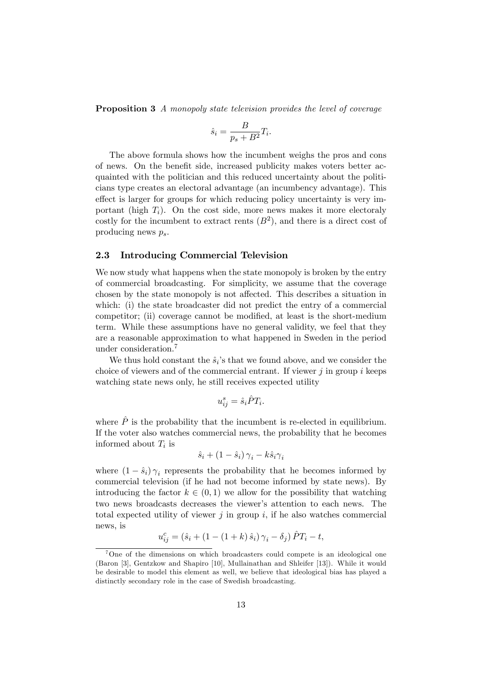Proposition 3 A monopoly state television provides the level of coverage

$$
\hat{s}_i = \frac{B}{p_s + B^2} T_i.
$$

The above formula shows how the incumbent weighs the pros and cons of news. On the benefit side, increased publicity makes voters better acquainted with the politician and this reduced uncertainty about the politicians type creates an electoral advantage (an incumbency advantage). This effect is larger for groups for which reducing policy uncertainty is very important (high  $T_i$ ). On the cost side, more news makes it more electoraly costly for the incumbent to extract rents  $(B<sup>2</sup>)$ , and there is a direct cost of producing news  $p_s$ .

#### 2.3 Introducing Commercial Television

We now study what happens when the state monopoly is broken by the entry of commercial broadcasting. For simplicity, we assume that the coverage chosen by the state monopoly is not affected. This describes a situation in which: (i) the state broadcaster did not predict the entry of a commercial competitor; (ii) coverage cannot be modified, at least is the short-medium term. While these assumptions have no general validity, we feel that they are a reasonable approximation to what happened in Sweden in the period under consideration.<sup>7</sup>

We thus hold constant the  $\hat{s}_i$ 's that we found above, and we consider the choice of viewers and of the commercial entrant. If viewer  $j$  in group  $i$  keeps watching state news only, he still receives expected utility

$$
u_{ij}^s = \hat{s}_i \hat{P} T_i.
$$

where  $\hat{P}$  is the probability that the incumbent is re-elected in equilibrium. If the voter also watches commercial news, the probability that he becomes informed about  $T_i$  is

$$
\hat{s}_i + (1 - \hat{s}_i) \gamma_i - k \hat{s}_i \gamma_i
$$

where  $(1 - \hat{s}_i)\gamma_i$  represents the probability that he becomes informed by commercial television (if he had not become informed by state news). By introducing the factor  $k \in (0, 1)$  we allow for the possibility that watching two news broadcasts decreases the viewer's attention to each news. The total expected utility of viewer j in group i, if he also watches commercial news, is

$$
u_{ij}^c = (\hat{s}_i + (1 - (1 + k)\,\hat{s}_i)\,\gamma_i - \delta_j)\,\hat{P}T_i - t,
$$

<sup>&</sup>lt;sup>7</sup>One of the dimensions on which broadcasters could compete is an ideological one (Baron [3], Gentzkow and Shapiro [10], Mullainathan and Shleifer [13]). While it would be desirable to model this element as well, we believe that ideological bias has played a distinctly secondary role in the case of Swedish broadcasting.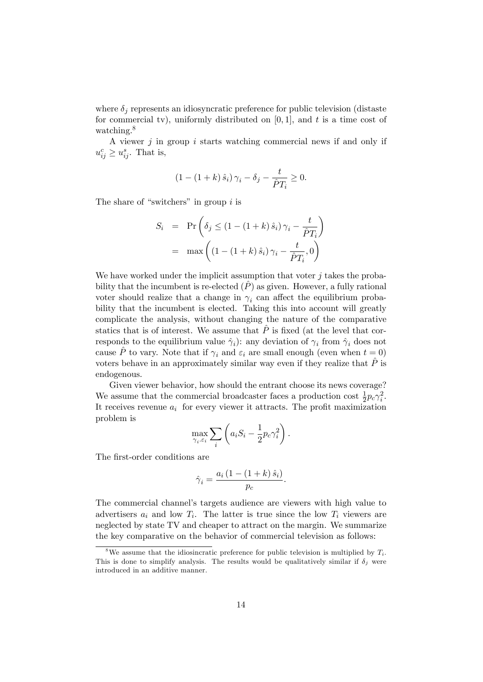where  $\delta_i$  represents an idiosyncratic preference for public television (distaste for commercial tv), uniformly distributed on  $[0, 1]$ , and t is a time cost of watching.<sup>8</sup>

A viewer  $j$  in group  $i$  starts watching commercial news if and only if  $u_{ij}^c \geq u_{ij}^s$ . That is,

$$
(1 - (1 + k)\hat{s}_i)\gamma_i - \delta_j - \frac{t}{\hat{P}T_i} \ge 0.
$$

The share of "switchers" in group  $i$  is

$$
S_i = \Pr\left(\delta_j \le (1 - (1 + k)\hat{s}_i)\gamma_i - \frac{t}{\hat{P}T_i}\right)
$$

$$
= \max\left((1 - (1 + k)\hat{s}_i)\gamma_i - \frac{t}{\hat{P}T_i}, 0\right)
$$

We have worked under the implicit assumption that voter  $j$  takes the probability that the incumbent is re-elected  $(P)$  as given. However, a fully rational voter should realize that a change in  $\gamma_i$  can affect the equilibrium probability that the incumbent is elected. Taking this into account will greatly complicate the analysis, without changing the nature of the comparative statics that is of interest. We assume that  $\hat{P}$  is fixed (at the level that corresponds to the equilibrium value  $\hat{\gamma}_i$ ): any deviation of  $\gamma_i$  from  $\hat{\gamma}_i$  does not cause  $\hat{P}$  to vary. Note that if  $\gamma_i$  and  $\varepsilon_i$  are small enough (even when  $t = 0$ ) voters behave in an approximately similar way even if they realize that  $P^{\dagger}$  is endogenous.

Given viewer behavior, how should the entrant choose its news coverage? We assume that the commercial broadcaster faces a production cost  $\frac{1}{2} p_c \gamma_i^2$ . It receives revenue  $a_i$  for every viewer it attracts. The profit maximization problem is

$$
\max_{\gamma_i,\varepsilon_i} \sum_i \left( a_i S_i - \frac{1}{2} p_c \gamma_i^2 \right).
$$

The first-order conditions are

$$
\hat{\gamma}_i = \frac{a_i \left(1 - \left(1 + k\right) \hat{s}_i\right)}{p_c}.
$$

The commercial channel's targets audience are viewers with high value to advertisers  $a_i$  and low  $T_i$ . The latter is true since the low  $T_i$  viewers are neglected by state TV and cheaper to attract on the margin. We summarize the key comparative on the behavior of commercial television as follows:

<sup>&</sup>lt;sup>8</sup>We assume that the idiosincratic preference for public television is multiplied by  $T_i$ . This is done to simplify analysis. The results would be qualitatively similar if  $\delta_j$  were introduced in an additive manner.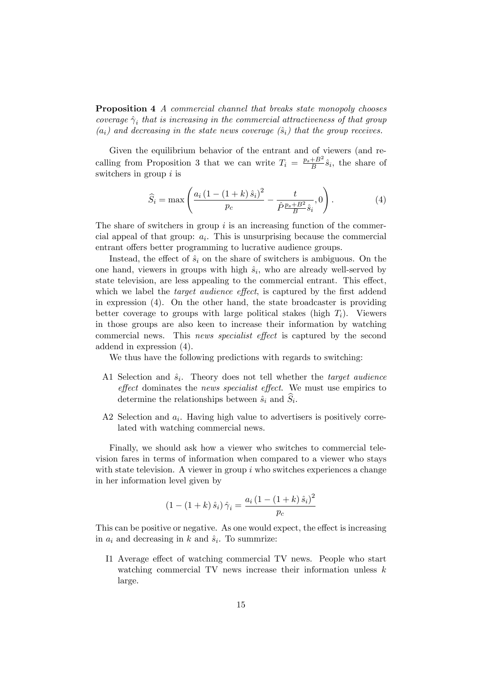**Proposition 4** A commercial channel that breaks state monopoly chooses coverage  $\hat{\gamma}_i$  that is increasing in the commercial attractiveness of that group  $(a_i)$  and decreasing in the state news coverage  $(\hat{s}_i)$  that the group receives.

Given the equilibrium behavior of the entrant and of viewers (and recalling from Proposition 3 that we can write  $T_i = \frac{p_s + B^2}{B}$  $\frac{+B^2}{B}\hat{s}_i$ , the share of switchers in group  $i$  is

$$
\widehat{S}_i = \max \left( \frac{a_i \left( 1 - (1 + k) \,\hat{s}_i \right)^2}{p_c} - \frac{t}{\hat{P} \frac{p_s + B^2}{B} \hat{s}_i}, 0 \right). \tag{4}
$$

The share of switchers in group  $i$  is an increasing function of the commercial appeal of that group:  $a_i$ . This is unsurprising because the commercial entrant offers better programming to lucrative audience groups.

Instead, the effect of  $\hat{s}_i$  on the share of switchers is ambiguous. On the one hand, viewers in groups with high  $\hat{s}_i$ , who are already well-served by state television, are less appealing to the commercial entrant. This effect, which we label the *target audience effect*, is captured by the first addend in expression (4). On the other hand, the state broadcaster is providing better coverage to groups with large political stakes (high  $T_i$ ). Viewers in those groups are also keen to increase their information by watching commercial news. This news specialist effect is captured by the second addend in expression (4).

We thus have the following predictions with regards to switching:

- A1 Selection and  $\hat{s}_i$ . Theory does not tell whether the *target audience* effect dominates the news specialist effect. We must use empirics to determine the relationships between  $\hat{s}_i$  and  $S_i$ .
- A2 Selection and  $a_i$ . Having high value to advertisers is positively correlated with watching commercial news.

Finally, we should ask how a viewer who switches to commercial television fares in terms of information when compared to a viewer who stays with state television. A viewer in group  $i$  who switches experiences a change in her information level given by

$$
(1 - (1 + k)\hat{s}_i) \hat{\gamma}_i = \frac{a_i (1 - (1 + k)\hat{s}_i)^2}{p_c}
$$

This can be positive or negative. As one would expect, the effect is increasing in  $a_i$  and decreasing in k and  $\hat{s}_i$ . To summrize:

I1 Average effect of watching commercial TV news. People who start watching commercial TV news increase their information unless  $k$ large.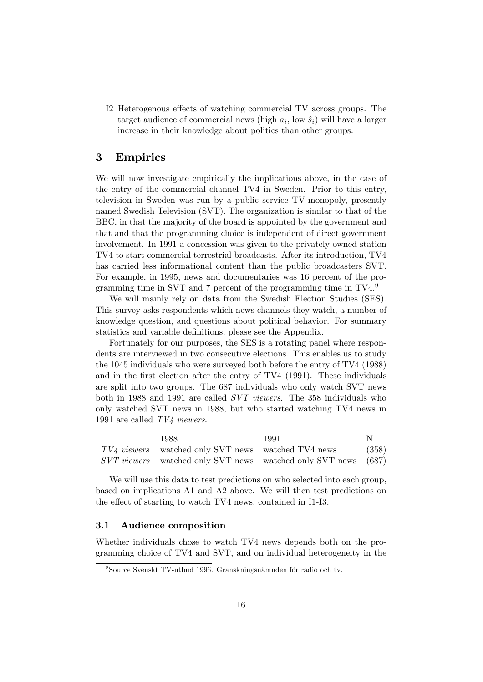I2 Heterogenous effects of watching commercial TV across groups. The target audience of commercial news (high  $a_i$ , low  $\hat{s}_i$ ) will have a larger increase in their knowledge about politics than other groups.

## 3 Empirics

We will now investigate empirically the implications above, in the case of the entry of the commercial channel TV4 in Sweden. Prior to this entry, television in Sweden was run by a public service TV-monopoly, presently named Swedish Television (SVT). The organization is similar to that of the BBC, in that the majority of the board is appointed by the government and that and that the programming choice is independent of direct government involvement. In 1991 a concession was given to the privately owned station TV4 to start commercial terrestrial broadcasts. After its introduction, TV4 has carried less informational content than the public broadcasters SVT. For example, in 1995, news and documentaries was 16 percent of the programming time in SVT and 7 percent of the programming time in TV4.<sup>9</sup>

We will mainly rely on data from the Swedish Election Studies (SES). This survey asks respondents which news channels they watch, a number of knowledge question, and questions about political behavior. For summary statistics and variable definitions, please see the Appendix.

Fortunately for our purposes, the SES is a rotating panel where respondents are interviewed in two consecutive elections. This enables us to study the 1045 individuals who were surveyed both before the entry of TV4 (1988) and in the first election after the entry of TV4 (1991). These individuals are split into two groups. The 687 individuals who only watch SVT news both in 1988 and 1991 are called SVT viewers. The 358 individuals who only watched SVT news in 1988, but who started watching TV4 news in 1991 are called TV4 viewers.

| 1988.                                                | 1991                                                                 |       |
|------------------------------------------------------|----------------------------------------------------------------------|-------|
| $TV4$ viewers watched only SVT news watched TV4 news |                                                                      | (358) |
|                                                      | <i>SVT viewers</i> watched only SVT news watched only SVT news (687) |       |

We will use this data to test predictions on who selected into each group, based on implications A1 and A2 above. We will then test predictions on the effect of starting to watch TV4 news, contained in I1-I3.

#### 3.1 Audience composition

Whether individuals chose to watch TV4 news depends both on the programming choice of TV4 and SVT, and on individual heterogeneity in the

 $98$ Source Svenskt TV-utbud 1996. Granskningsnämnden för radio och tv.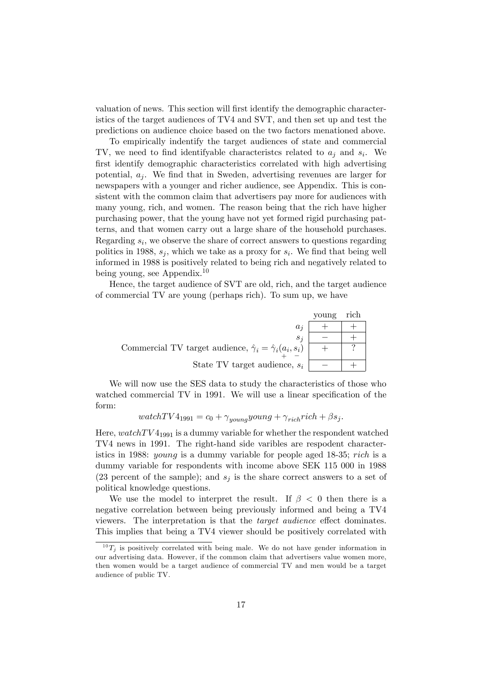valuation of news. This section will first identify the demographic characteristics of the target audiences of TV4 and SVT, and then set up and test the predictions on audience choice based on the two factors menationed above.

To empirically indentify the target audiences of state and commercial TV, we need to find identifyable characteristics related to  $a_j$  and  $s_i$ . We first identify demographic characteristics correlated with high advertising potential,  $a_i$ . We find that in Sweden, advertising revenues are larger for newspapers with a younger and richer audience, see Appendix. This is consistent with the common claim that advertisers pay more for audiences with many young, rich, and women. The reason being that the rich have higher purchasing power, that the young have not yet formed rigid purchasing patterns, and that women carry out a large share of the household purchases. Regarding  $s_i$ , we observe the share of correct answers to questions regarding politics in 1988,  $s_j$ , which we take as a proxy for  $s_i$ . We find that being well informed in 1988 is positively related to being rich and negatively related to being young, see Appendix.<sup>10</sup>

Hence, the target audience of SVT are old, rich, and the target audience of commercial TV are young (perhaps rich). To sum up, we have

|                                                                            | voung | rich |
|----------------------------------------------------------------------------|-------|------|
| $a_i$                                                                      |       |      |
| $s_i$                                                                      |       |      |
| Commercial TV target audience, $\hat{\gamma}_i = \hat{\gamma}_i(a_i, s_i)$ |       |      |
| State TV target audience, $s_i$                                            |       |      |

We will now use the SES data to study the characteristics of those who watched commercial TV in 1991. We will use a linear specification of the form:

$$
watchTV4_{1991} = c_0 + \gamma_{young} young + \gamma_{rich} rich + \beta s_j.
$$

Here,  $watchTV4_{1991}$  is a dummy variable for whether the respondent watched TV4 news in 1991. The right-hand side varibles are respodent characteristics in 1988: young is a dummy variable for people aged 18-35; rich is a dummy variable for respondents with income above SEK 115 000 in 1988 (23 percent of the sample); and  $s_i$  is the share correct answers to a set of political knowledge questions.

We use the model to interpret the result. If  $\beta < 0$  then there is a negative correlation between being previously informed and being a TV4 viewers. The interpretation is that the *target audience* effect dominates. This implies that being a TV4 viewer should be positively correlated with

 $^{10}T_i$  is positively correlated with being male. We do not have gender information in our advertising data. However, if the common claim that advertisers value women more, then women would be a target audience of commercial TV and men would be a target audience of public TV.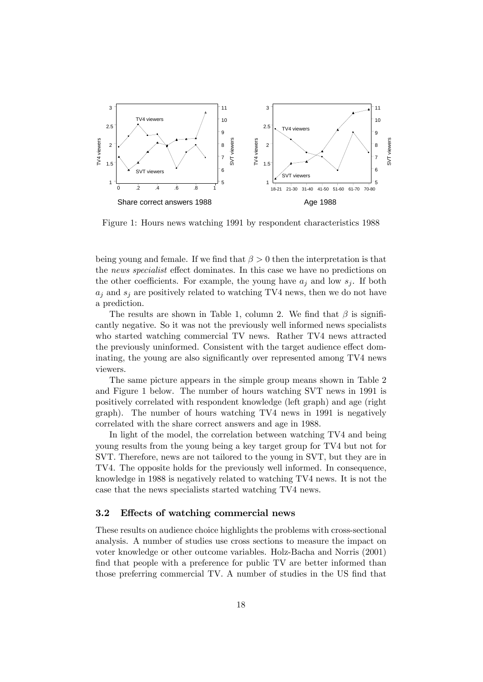

Figure 1: Hours news watching 1991 by respondent characteristics 1988

being young and female. If we find that  $\beta > 0$  then the interpretation is that the news specialist effect dominates. In this case we have no predictions on the other coefficients. For example, the young have  $a_i$  and low  $s_i$ . If both  $a_j$  and  $s_j$  are positively related to watching TV4 news, then we do not have a prediction.

The results are shown in Table 1, column 2. We find that  $\beta$  is significantly negative. So it was not the previously well informed news specialists who started watching commercial TV news. Rather TV4 news attracted the previously uninformed. Consistent with the target audience effect dominating, the young are also significantly over represented among TV4 news viewers.

The same picture appears in the simple group means shown in Table 2 and Figure 1 below. The number of hours watching SVT news in 1991 is positively correlated with respondent knowledge (left graph) and age (right graph). The number of hours watching TV4 news in 1991 is negatively correlated with the share correct answers and age in 1988.

In light of the model, the correlation between watching TV4 and being young results from the young being a key target group for TV4 but not for SVT. Therefore, news are not tailored to the young in SVT, but they are in TV4. The opposite holds for the previously well informed. In consequence, knowledge in 1988 is negatively related to watching TV4 news. It is not the case that the news specialists started watching TV4 news.

#### 3.2 Effects of watching commercial news

These results on audience choice highlights the problems with cross-sectional analysis. A number of studies use cross sections to measure the impact on voter knowledge or other outcome variables. Holz-Bacha and Norris (2001) find that people with a preference for public TV are better informed than those preferring commercial TV. A number of studies in the US find that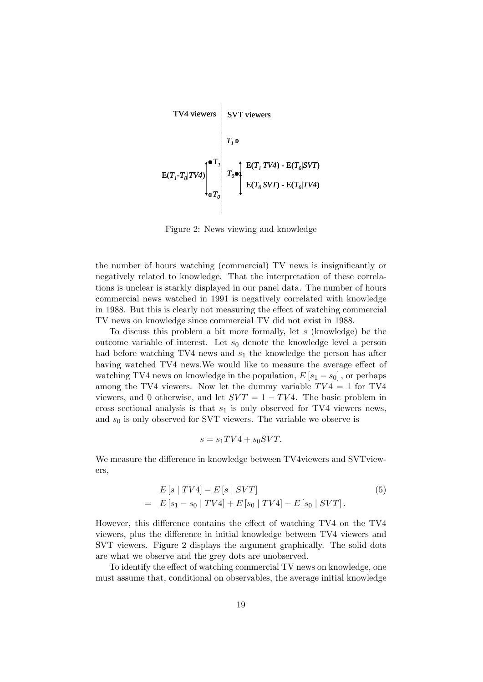

Figure 2: News viewing and knowledge

the number of hours watching (commercial) TV news is insignificantly or negatively related to knowledge. That the interpretation of these correlations is unclear is starkly displayed in our panel data. The number of hours commercial news watched in 1991 is negatively correlated with knowledge in 1988. But this is clearly not measuring the effect of watching commercial TV news on knowledge since commercial TV did not exist in 1988.

To discuss this problem a bit more formally, let s (knowledge) be the outcome variable of interest. Let  $s_0$  denote the knowledge level a person had before watching TV4 news and  $s_1$  the knowledge the person has after having watched TV4 news. We would like to measure the average effect of watching TV4 news on knowledge in the population,  $E[s_1 - s_0]$ , or perhaps among the TV4 viewers. Now let the dummy variable  $TV4 = 1$  for TV4 viewers, and 0 otherwise, and let  $SVT = 1 - TV4$ . The basic problem in cross sectional analysis is that  $s_1$  is only observed for TV4 viewers news, and  $s_0$  is only observed for SVT viewers. The variable we observe is

$$
s = s_1 TV4 + s_0 SVT.
$$

We measure the difference in knowledge between TV4viewers and SVTviewers,

$$
E [s | TV4] - E [s | SVT]
$$
  
=  $E [s_1 - s_0 | TV4] + E [s_0 | TV4] - E [s_0 | SVT].$  (5)

However, this difference contains the effect of watching TV4 on the TV4 viewers, plus the difference in initial knowledge between TV4 viewers and SVT viewers. Figure 2 displays the argument graphically. The solid dots are what we observe and the grey dots are unobserved.

To identify the effect of watching commercial TV news on knowledge, one must assume that, conditional on observables, the average initial knowledge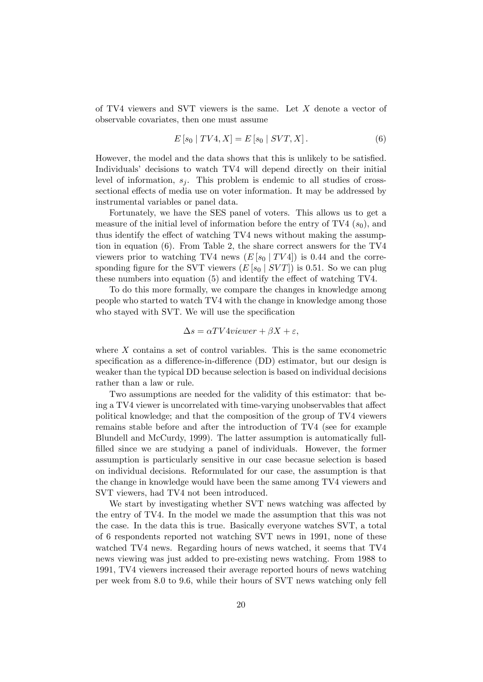of TV4 viewers and SVT viewers is the same. Let X denote a vector of observable covariates, then one must assume

$$
E\left[s_0 \mid TV4, X\right] = E\left[s_0 \mid SVT, X\right].\tag{6}
$$

However, the model and the data shows that this is unlikely to be satisfied. Individuals' decisions to watch TV4 will depend directly on their initial level of information,  $s_i$ . This problem is endemic to all studies of crosssectional effects of media use on voter information. It may be addressed by instrumental variables or panel data.

Fortunately, we have the SES panel of voters. This allows us to get a measure of the initial level of information before the entry of TV4  $(s_0)$ , and thus identify the effect of watching TV4 news without making the assumption in equation (6). From Table 2, the share correct answers for the TV4 viewers prior to watching TV4 news  $(E [s_0 | TV4])$  is 0.44 and the corresponding figure for the SVT viewers  $(E [s_0 | SVT])$  is 0.51. So we can plug these numbers into equation  $(5)$  and identify the effect of watching TV4.

To do this more formally, we compare the changes in knowledge among people who started to watch TV4 with the change in knowledge among those who stayed with SVT. We will use the specification

$$
\Delta s = \alpha T V 4 \text{viewer} + \beta X + \varepsilon,
$$

where  $X$  contains a set of control variables. This is the same econometric specification as a difference-in-difference (DD) estimator, but our design is weaker than the typical DD because selection is based on individual decisions rather than a law or rule.

Two assumptions are needed for the validity of this estimator: that being a TV4 viewer is uncorrelated with time-varying unobservables that affect political knowledge; and that the composition of the group of TV4 viewers remains stable before and after the introduction of TV4 (see for example Blundell and McCurdy, 1999). The latter assumption is automatically fullfilled since we are studying a panel of individuals. However, the former assumption is particularly sensitive in our case becasue selection is based on individual decisions. Reformulated for our case, the assumption is that the change in knowledge would have been the same among TV4 viewers and SVT viewers, had TV4 not been introduced.

We start by investigating whether SVT news watching was affected by the entry of TV4. In the model we made the assumption that this was not the case. In the data this is true. Basically everyone watches SVT, a total of 6 respondents reported not watching SVT news in 1991, none of these watched TV4 news. Regarding hours of news watched, it seems that TV4 news viewing was just added to pre-existing news watching. From 1988 to 1991, TV4 viewers increased their average reported hours of news watching per week from 8.0 to 9.6, while their hours of SVT news watching only fell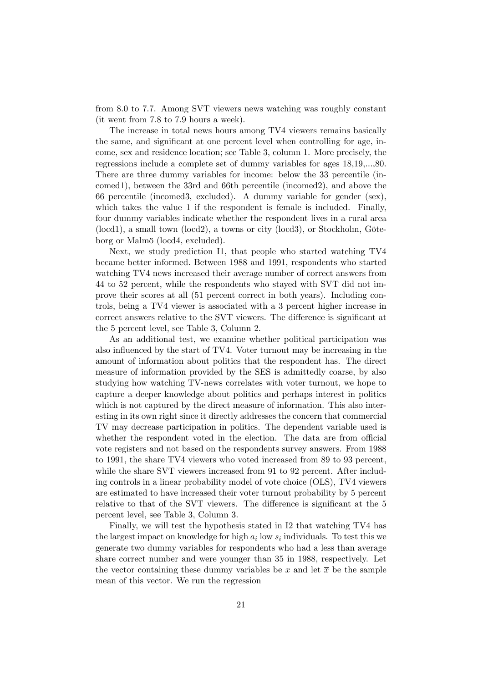from 8.0 to 7.7. Among SVT viewers news watching was roughly constant (it went from 7.8 to 7.9 hours a week).

The increase in total news hours among TV4 viewers remains basically the same, and significant at one percent level when controlling for age, income, sex and residence location; see Table 3, column 1. More precisely, the regressions include a complete set of dummy variables for ages 18,19,...,80. There are three dummy variables for income: below the 33 percentile (incomed1), between the 33rd and 66th percentile (incomed2), and above the 66 percentile (incomed3, excluded). A dummy variable for gender (sex), which takes the value 1 if the respondent is female is included. Finally, four dummy variables indicate whether the respondent lives in a rural area  $(\text{local})$ , a small town  $(\text{local})$ , a towns or city  $(\text{local})$ , or Stockholm, Göteborg or Malmö (locd4, excluded).

Next, we study prediction I1, that people who started watching TV4 became better informed: Between 1988 and 1991, respondents who started watching TV4 news increased their average number of correct answers from 44 to 52 percent, while the respondents who stayed with SVT did not improve their scores at all (51 percent correct in both years). Including controls, being a TV4 viewer is associated with a 3 percent higher increase in correct answers relative to the SVT viewers. The difference is significant at the 5 percent level, see Table 3, Column 2.

As an additional test, we examine whether political participation was also influenced by the start of TV4. Voter turnout may be increasing in the amount of information about politics that the respondent has. The direct measure of information provided by the SES is admittedly coarse, by also studying how watching TV-news correlates with voter turnout, we hope to capture a deeper knowledge about politics and perhaps interest in politics which is not captured by the direct measure of information. This also interesting in its own right since it directly addresses the concern that commercial TV may decrease participation in politics. The dependent variable used is whether the respondent voted in the election. The data are from official vote registers and not based on the respondents survey answers. From 1988 to 1991, the share TV4 viewers who voted increased from 89 to 93 percent, while the share SVT viewers increased from 91 to 92 percent. After including controls in a linear probability model of vote choice (OLS), TV4 viewers are estimated to have increased their voter turnout probability by 5 percent relative to that of the SVT viewers. The difference is significant at the 5 percent level, see Table 3, Column 3.

Finally, we will test the hypothesis stated in I2 that watching TV4 has the largest impact on knowledge for high  $a_i$  low  $s_i$  individuals. To test this we generate two dummy variables for respondents who had a less than average share correct number and were younger than 35 in 1988, respectively. Let the vector containing these dummy variables be x and let  $\bar{x}$  be the sample mean of this vector. We run the regression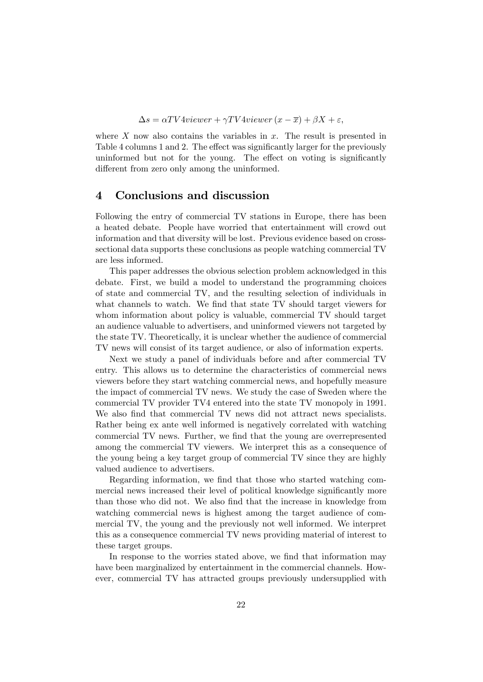$$
\Delta s = \alpha TV4viewer + \gamma TV4viewer (x - \overline{x}) + \beta X + \varepsilon,
$$

where  $X$  now also contains the variables in  $x$ . The result is presented in Table 4 columns 1 and 2. The effect was significantly larger for the previously uninformed but not for the young. The effect on voting is significantly different from zero only among the uninformed.

## 4 Conclusions and discussion

Following the entry of commercial TV stations in Europe, there has been a heated debate. People have worried that entertainment will crowd out information and that diversity will be lost. Previous evidence based on crosssectional data supports these conclusions as people watching commercial TV are less informed.

This paper addresses the obvious selection problem acknowledged in this debate. First, we build a model to understand the programming choices of state and commercial TV, and the resulting selection of individuals in what channels to watch. We find that state TV should target viewers for whom information about policy is valuable, commercial TV should target an audience valuable to advertisers, and uninformed viewers not targeted by the state TV. Theoretically, it is unclear whether the audience of commercial TV news will consist of its target audience, or also of information experts.

Next we study a panel of individuals before and after commercial TV entry. This allows us to determine the characteristics of commercial news viewers before they start watching commercial news, and hopefully measure the impact of commercial TV news. We study the case of Sweden where the commercial TV provider TV4 entered into the state TV monopoly in 1991. We also find that commercial TV news did not attract news specialists. Rather being ex ante well informed is negatively correlated with watching commercial TV news. Further, we find that the young are overrepresented among the commercial TV viewers. We interpret this as a consequence of the young being a key target group of commercial TV since they are highly valued audience to advertisers.

Regarding information, we find that those who started watching commercial news increased their level of political knowledge significantly more than those who did not. We also find that the increase in knowledge from watching commercial news is highest among the target audience of commercial TV, the young and the previously not well informed. We interpret this as a consequence commercial TV news providing material of interest to these target groups.

In response to the worries stated above, we find that information may have been marginalized by entertainment in the commercial channels. However, commercial TV has attracted groups previously undersupplied with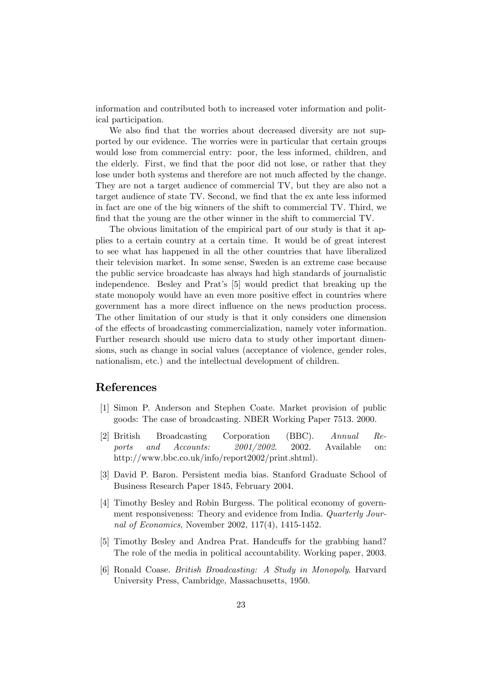information and contributed both to increased voter information and political participation.

We also find that the worries about decreased diversity are not supported by our evidence. The worries were in particular that certain groups would lose from commercial entry: poor, the less informed, children, and the elderly. First, we find that the poor did not lose, or rather that they lose under both systems and therefore are not much affected by the change. They are not a target audience of commercial TV, but they are also not a target audience of state TV. Second, we find that the ex ante less informed in fact are one of the big winners of the shift to commercial TV. Third, we find that the young are the other winner in the shift to commercial TV.

The obvious limitation of the empirical part of our study is that it applies to a certain country at a certain time. It would be of great interest to see what has happened in all the other countries that have liberalized their television market. In some sense, Sweden is an extreme case because the public service broadcaste has always had high standards of journalistic independence. Besley and Prat's [5] would predict that breaking up the state monopoly would have an even more positive effect in countries where government has a more direct ináuence on the news production process. The other limitation of our study is that it only considers one dimension of the effects of broadcasting commercialization, namely voter information. Further research should use micro data to study other important dimensions, such as change in social values (acceptance of violence, gender roles, nationalism, etc.) and the intellectual development of children.

## References

- [1] Simon P. Anderson and Stephen Coate. Market provision of public goods: The case of broadcasting. NBER Working Paper 7513. 2000.
- [2] British Broadcasting Corporation (BBC). Annual Reports and Accounts:  $2001/2002$ . 2002. Available on: http://www.bbc.co.uk/info/report2002/print.shtml).
- [3] David P. Baron. Persistent media bias. Stanford Graduate School of Business Research Paper 1845, February 2004.
- [4] Timothy Besley and Robin Burgess. The political economy of government responsiveness: Theory and evidence from India. Quarterly Journal of Economics, November 2002, 117(4), 1415-1452.
- [5] Timothy Besley and Andrea Prat. Handcuffs for the grabbing hand? The role of the media in political accountability. Working paper, 2003.
- [6] Ronald Coase. British Broadcasting: A Study in Monopoly. Harvard University Press, Cambridge, Massachusetts, 1950.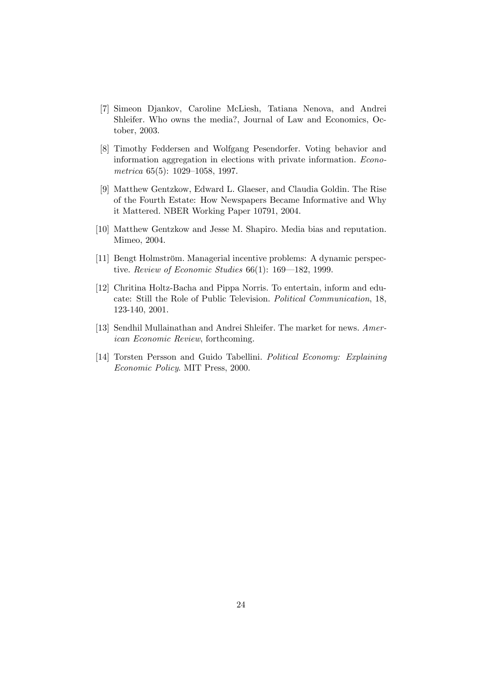- [7] Simeon Djankov, Caroline McLiesh, Tatiana Nenova, and Andrei Shleifer. Who owns the media?, Journal of Law and Economics, October, 2003.
- [8] Timothy Feddersen and Wolfgang Pesendorfer. Voting behavior and information aggregation in elections with private information. Econometrica  $65(5)$ : 1029-1058, 1997.
- [9] Matthew Gentzkow, Edward L. Glaeser, and Claudia Goldin. The Rise of the Fourth Estate: How Newspapers Became Informative and Why it Mattered. NBER Working Paper 10791, 2004.
- [10] Matthew Gentzkow and Jesse M. Shapiro. Media bias and reputation. Mimeo, 2004.
- [11] Bengt Holmström. Managerial incentive problems: A dynamic perspective. Review of Economic Studies  $66(1)$ : 169–182, 1999.
- [12] Chritina Holtz-Bacha and Pippa Norris. To entertain, inform and educate: Still the Role of Public Television. Political Communication, 18, 123-140, 2001.
- [13] Sendhil Mullainathan and Andrei Shleifer. The market for news. American Economic Review, forthcoming.
- [14] Torsten Persson and Guido Tabellini. Political Economy: Explaining Economic Policy. MIT Press, 2000.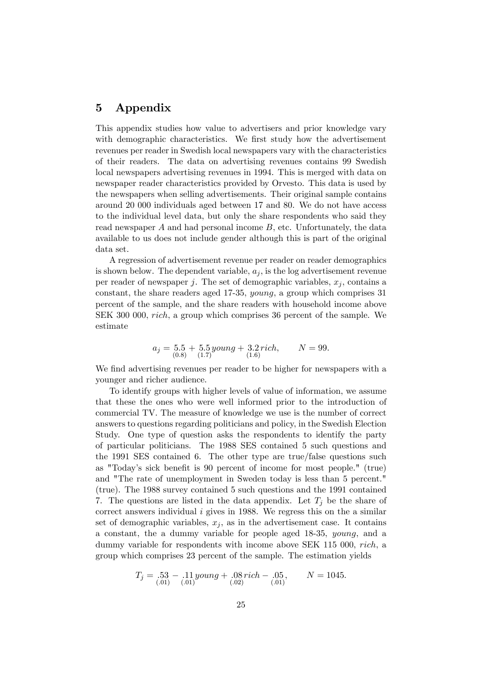# 5 Appendix

This appendix studies how value to advertisers and prior knowledge vary with demographic characteristics. We first study how the advertisement revenues per reader in Swedish local newspapers vary with the characteristics of their readers. The data on advertising revenues contains 99 Swedish local newspapers advertising revenues in 1994. This is merged with data on newspaper reader characteristics provided by Orvesto. This data is used by the newspapers when selling advertisements. Their original sample contains around 20 000 individuals aged between 17 and 80. We do not have access to the individual level data, but only the share respondents who said they read newspaper A and had personal income B, etc. Unfortunately, the data available to us does not include gender although this is part of the original data set.

A regression of advertisement revenue per reader on reader demographics is shown below. The dependent variable,  $a_i$ , is the log advertisement revenue per reader of newspaper j. The set of demographic variables,  $x_j$ , contains a constant, the share readers aged 17-35, young, a group which comprises 31 percent of the sample, and the share readers with household income above SEK 300 000, rich, a group which comprises 36 percent of the sample. We estimate

$$
a_j = \underset{(0.8)}{5.5} + \underset{(1.7)}{5.5} \underset{(1.6)}{young} + \underset{(1.6)}{3.2} \underset{(1.6)}{rich}, \qquad N = 99.
$$

We find advertising revenues per reader to be higher for newspapers with a younger and richer audience.

To identify groups with higher levels of value of information, we assume that these the ones who were well informed prior to the introduction of commercial TV. The measure of knowledge we use is the number of correct answers to questions regarding politicians and policy, in the Swedish Election Study. One type of question asks the respondents to identify the party of particular politicians. The 1988 SES contained 5 such questions and the 1991 SES contained 6. The other type are true/false questions such as "Today's sick benefit is 90 percent of income for most people." (true) and "The rate of unemployment in Sweden today is less than 5 percent." (true). The 1988 survey contained 5 such questions and the 1991 contained 7. The questions are listed in the data appendix. Let  $T_i$  be the share of correct answers individual  $i$  gives in 1988. We regress this on the a similar set of demographic variables,  $x_j$ , as in the advertisement case. It contains a constant, the a dummy variable for people aged 18-35, young, and a dummy variable for respondents with income above SEK 115 000, rich, a group which comprises 23 percent of the sample. The estimation yields

$$
T_j = .53 - .11 \, \text{young} + .08 \, \text{rich} - .05, \qquad N = 1045. \tag{01}
$$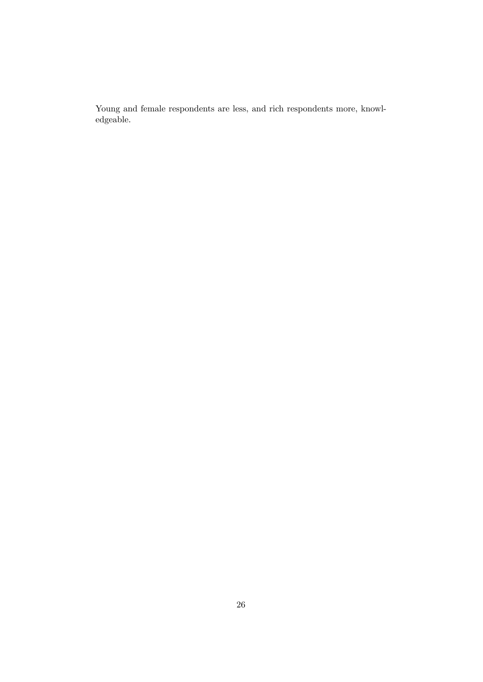Young and female respondents are less, and rich respondents more, knowledgeable.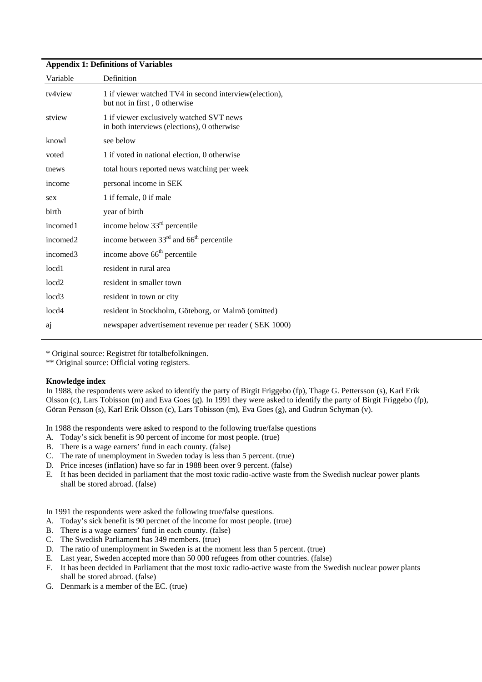#### **Appendix 1: Definitions of Variables**

| Variable          | Definition                                                                               |
|-------------------|------------------------------------------------------------------------------------------|
| tv4view           | 1 if viewer watched TV4 in second interview (election),<br>but not in first, 0 otherwise |
| stview            | 1 if viewer exclusively watched SVT news<br>in both interviews (elections), 0 otherwise  |
| knowl             | see below                                                                                |
| voted             | 1 if voted in national election, 0 otherwise                                             |
| tnews             | total hours reported news watching per week                                              |
| income            | personal income in SEK                                                                   |
| sex               | 1 if female, 0 if male                                                                   |
| birth             | year of birth                                                                            |
| incomed1          | income below 33 <sup>rd</sup> percentile                                                 |
| incomed2          | income between $33rd$ and $66th$ percentile                                              |
| incomed3          | income above 66 <sup>th</sup> percentile                                                 |
| locd1             | resident in rural area                                                                   |
| locd <sub>2</sub> | resident in smaller town                                                                 |
| locd <sub>3</sub> | resident in town or city                                                                 |
| locd4             | resident in Stockholm, Göteborg, or Malmö (omitted)                                      |
| <sub>a</sub>      | newspaper advertisement revenue per reader (SEK 1000)                                    |
|                   |                                                                                          |

\* Original source: Registret för totalbefolkningen.

\*\* Original source: Official voting registers.

#### **Knowledge index**

In 1988, the respondents were asked to identify the party of Birgit Friggebo (fp), Thage G. Pettersson (s), Karl Erik Olsson (c), Lars Tobisson (m) and Eva Goes (g). In 1991 they were asked to identify the party of Birgit Friggebo (fp), Göran Persson (s), Karl Erik Olsson (c), Lars Tobisson (m), Eva Goes (g), and Gudrun Schyman (v).

In 1988 the respondents were asked to respond to the following true/false questions

- A. Today's sick benefit is 90 percent of income for most people. (true)
- B. There is a wage earners' fund in each county. (false)
- C. The rate of unemployment in Sweden today is less than 5 percent. (true)
- D. Price inceses (inflation) have so far in 1988 been over 9 percent. (false)
- E. It has been decided in parliament that the most toxic radio-active waste from the Swedish nuclear power plants shall be stored abroad. (false)

In 1991 the respondents were asked the following true/false questions.

- A. Today's sick benefit is 90 percnet of the income for most people. (true)
- B. There is a wage earners' fund in each county. (false)
- C. The Swedish Parliament has 349 members. (true)
- D. The ratio of unemployment in Sweden is at the moment less than 5 percent. (true)
- E. Last year, Sweden accepted more than 50 000 refugees from other countries. (false)
- F. It has been decided in Parliament that the most toxic radio-active waste from the Swedish nuclear power plants shall be stored abroad. (false)
- G. Denmark is a member of the EC. (true)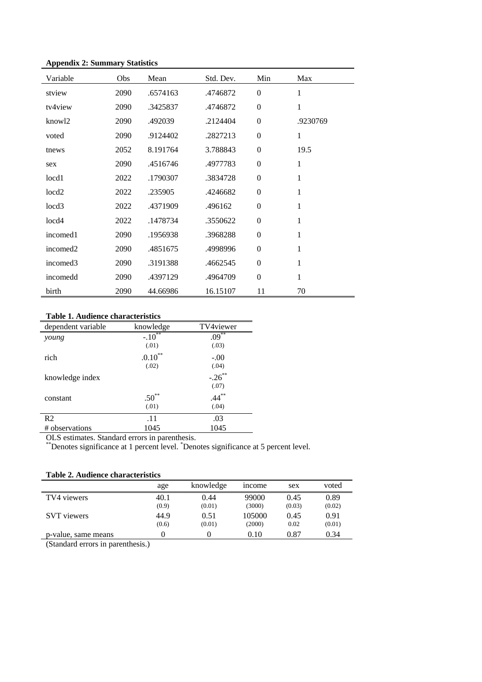#### **Appendix 2: Summary Statistics**

| Variable             | Obs  | Mean     | Std. Dev. | Min            | Max      |
|----------------------|------|----------|-----------|----------------|----------|
| stview               | 2090 | .6574163 | .4746872  | $\mathbf{0}$   | 1        |
| tv4view              | 2090 | .3425837 | .4746872  | $\theta$       | 1        |
| knowl2               | 2090 | .492039  | .2124404  | $\Omega$       | .9230769 |
| voted                | 2090 | .9124402 | .2827213  | $\mathbf{0}$   | 1        |
| tnews                | 2052 | 8.191764 | 3.788843  | $\mathbf{0}$   | 19.5     |
| sex                  | 2090 | .4516746 | .4977783  | $\mathbf{0}$   | 1        |
| local <sub>1</sub>   | 2022 | .1790307 | .3834728  | $\theta$       | 1        |
| locd <sub>2</sub>    | 2022 | .235905  | .4246682  | $\overline{0}$ | 1        |
| locd3                | 2022 | .4371909 | .496162   | $\Omega$       | 1        |
| loc <sub>d4</sub>    | 2022 | .1478734 | .3550622  | $\overline{0}$ | 1        |
| incomed1             | 2090 | .1956938 | .3968288  | $\overline{0}$ | 1        |
| incomed <sub>2</sub> | 2090 | .4851675 | .4998996  | $\Omega$       | 1        |
| incomed3             | 2090 | .3191388 | .4662545  | $\Omega$       | 1        |
| incomedd             | 2090 | .4397129 | .4964709  | $\overline{0}$ | 1        |
| birth                | 2090 | 44.66986 | 16.15107  | 11             | 70       |

## **Table 1. Audience characteristics**

| dependent variable | knowledge          | TV4viewer     |
|--------------------|--------------------|---------------|
| young              | $-.10^{***}$       | $.09***$      |
|                    | (.01)              | (.03)         |
| rich               | $.0.10^{\ast\ast}$ | $-.00$        |
|                    | (.02)              | (.04)         |
| knowledge index    |                    | $-.26***$     |
|                    |                    | (.07)         |
| constant           | $.50^{**}$         | $.44$ $^{**}$ |
|                    | (.01)              | (.04)         |
| R <sub>2</sub>     | .11                | .03           |
| # observations     | 1045               | 1045          |
|                    |                    |               |

OLS estimates. Standard errors in parenthesis.

\*\*Denotes significance at 1 percent level. \* Denotes significance at 5 percent level.

**Table 2. Audience characteristics**

| Table 2. Augustice chairden istics |           |              |        |        |  |
|------------------------------------|-----------|--------------|--------|--------|--|
| age                                | knowledge | <i>ncome</i> | sex    | voted  |  |
| 40.1                               | 0.44      | 99000        | 0.45   | 0.89   |  |
| (0.9)                              | (0.01)    | (3000)       | (0.03) | (0.02) |  |
| 44.9                               | 0.51      | 105000       | 0.45   | 0.91   |  |
| (0.6)                              | (0.01)    | (2000)       | 0.02   | (0.01) |  |
|                                    |           | 0.10         | 0.87   | 0.34   |  |
|                                    |           |              |        |        |  |

(Standard errors in parenthesis.)